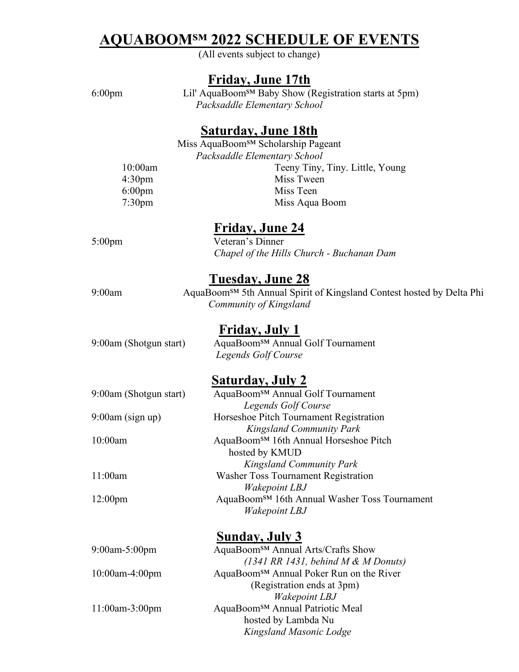# **AQUABOOMSM 2022 SCHEDULE OF EVENTS**

(All events subject to change)

# **Friday, June 17th**

6:00pm Lil' AquaBoom<sup>SM</sup> Baby Show (Registration starts at 5pm) *Packsaddle Elementary School* 

#### **Saturday, June 18th**

Miss AquaBoom<sup>SM</sup> Scholarship Pageant *Packsaddle Elementary School*  10:00am Teeny Tiny, Tiny. Little, Young 4:30pm Miss Tween 6:00pm Miss Teen 7:30pm Miss Aqua Boom

### **Friday, June 24**

#### 5:00pm Veteran's Dinner *Chapel of the Hills Church - Buchanan Dam*

## **Tuesday, June 28**

9:00am AquaBoom<sup>sM</sup> 5th Annual Spirit of Kingsland Contest hosted by Delta Phi *Community of Kingsland* 

# **Friday, July 1**

9:00am (Shotgun start) AquaBoom<sup>SM</sup> Annual Golf Tournament *Legends Golf Course* 

## **Saturday, July 2**

| 9:00am (Shotgun start) | AquaBoom <sup>SM</sup> Annual Golf Tournament             |  |
|------------------------|-----------------------------------------------------------|--|
|                        | Legends Golf Course                                       |  |
| $9:00$ am (sign up)    | Horseshoe Pitch Tournament Registration                   |  |
|                        | <b>Kingsland Community Park</b>                           |  |
| 10:00am                | AquaBoom <sup>SM</sup> 16th Annual Horseshoe Pitch        |  |
|                        | hosted by KMUD                                            |  |
|                        | <b>Kingsland Community Park</b>                           |  |
| 11:00am                | <b>Washer Toss Tournament Registration</b>                |  |
|                        | Wakepoint LBJ                                             |  |
| 12:00 <sub>pm</sub>    | AquaBoom <sup>SM</sup> 16th Annual Washer Toss Tournament |  |
|                        | Wakepoint LBJ                                             |  |
|                        |                                                           |  |

## **Sunday, July 3**

| 9:00am-5:00pm     | AquaBoom <sup>SM</sup> Annual Arts/Crafts Show                           |
|-------------------|--------------------------------------------------------------------------|
|                   | $(1341 \, \text{RR} \, 1431, \, \text{behind } M \& M \, \text{Donuts})$ |
| $10:00$ am-4:00pm | AquaBoom <sup>SM</sup> Annual Poker Run on the River                     |
|                   | (Registration ends at 3pm)                                               |
|                   | <b>Wakepoint LBJ</b>                                                     |
| $11:00$ am-3:00pm | AquaBoom <sup>SM</sup> Annual Patriotic Meal                             |
|                   | hosted by Lambda Nu                                                      |
|                   | Kingsland Masonic Lodge                                                  |